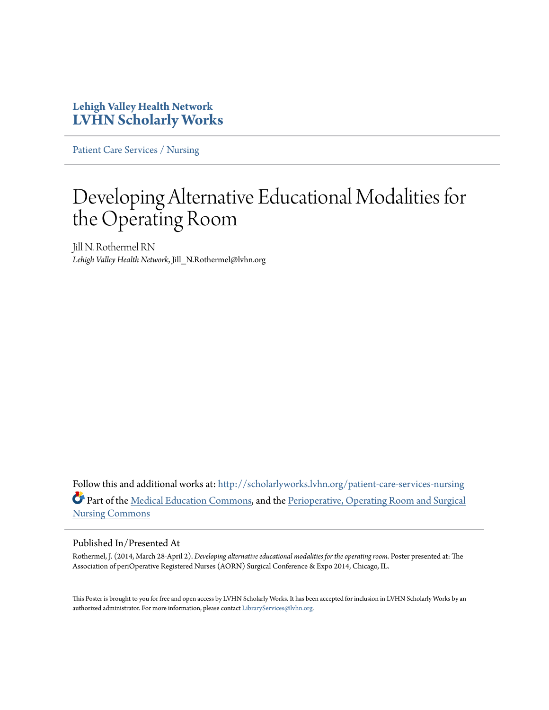### **Lehigh Valley Health Network [LVHN Scholarly Works](http://scholarlyworks.lvhn.org?utm_source=scholarlyworks.lvhn.org%2Fpatient-care-services-nursing%2F312&utm_medium=PDF&utm_campaign=PDFCoverPages)**

[Patient Care Services / Nursing](http://scholarlyworks.lvhn.org/patient-care-services-nursing?utm_source=scholarlyworks.lvhn.org%2Fpatient-care-services-nursing%2F312&utm_medium=PDF&utm_campaign=PDFCoverPages)

### Developing Alternative Educational Modalities for the Operating Room

Jill N. Rothermel RN *Lehigh Valley Health Network*, Jill\_N.Rothermel@lvhn.org

Follow this and additional works at: [http://scholarlyworks.lvhn.org/patient-care-services-nursing](http://scholarlyworks.lvhn.org/patient-care-services-nursing?utm_source=scholarlyworks.lvhn.org%2Fpatient-care-services-nursing%2F312&utm_medium=PDF&utm_campaign=PDFCoverPages) Part of the [Medical Education Commons,](http://network.bepress.com/hgg/discipline/1125?utm_source=scholarlyworks.lvhn.org%2Fpatient-care-services-nursing%2F312&utm_medium=PDF&utm_campaign=PDFCoverPages) and the [Perioperative, Operating Room and Surgical](http://network.bepress.com/hgg/discipline/726?utm_source=scholarlyworks.lvhn.org%2Fpatient-care-services-nursing%2F312&utm_medium=PDF&utm_campaign=PDFCoverPages) [Nursing Commons](http://network.bepress.com/hgg/discipline/726?utm_source=scholarlyworks.lvhn.org%2Fpatient-care-services-nursing%2F312&utm_medium=PDF&utm_campaign=PDFCoverPages)

### Published In/Presented At

Rothermel, J. (2014, March 28-April 2). *Developing alternative educational modalities for the operating room.* Poster presented at: The Association of periOperative Registered Nurses (AORN) Surgical Conference & Expo 2014, Chicago, IL.

This Poster is brought to you for free and open access by LVHN Scholarly Works. It has been accepted for inclusion in LVHN Scholarly Works by an authorized administrator. For more information, please contact [LibraryServices@lvhn.org.](mailto:LibraryServices@lvhn.org)